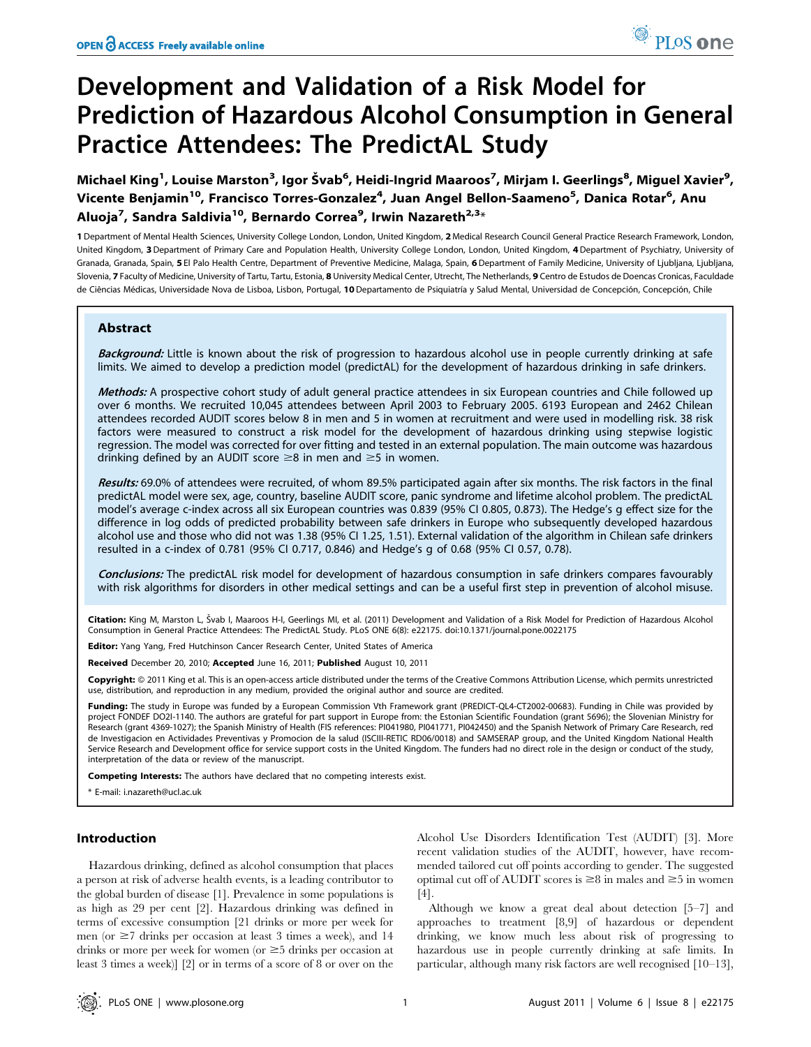# Development and Validation of a Risk Model for Prediction of Hazardous Alcohol Consumption in General Practice Attendees: The PredictAL Study

Michael King<sup>1</sup>, Louise Marston<sup>3</sup>, Igor Švab<sup>6</sup>, Heidi-Ingrid Maaroos<sup>7</sup>, Mirjam I. Geerlings<sup>8</sup>, Miguel Xavier<sup>9</sup>, Vicente Benjamin<sup>10</sup>, Francisco Torres-Gonzalez<sup>4</sup>, Juan Angel Bellon-Saameno<sup>5</sup>, Danica Rotar<sup>6</sup>, Anu Aluoja<sup>7</sup>, Sandra Saldivia<sup>10</sup>, Bernardo Correa<sup>9</sup>, Irwin Nazareth<sup>2,3</sup>\*

1 Department of Mental Health Sciences, University College London, London, United Kingdom, 2 Medical Research Council General Practice Research Framework, London, United Kingdom, 3Department of Primary Care and Population Health, University College London, London, United Kingdom, 4Department of Psychiatry, University of Granada, Granada, Spain, 5 El Palo Health Centre, Department of Preventive Medicine, Malaga, Spain, 6 Department of Family Medicine, University of Ljubljana, Ljubljana, Slovenia, 7 Faculty of Medicine, University of Tartu, Tartu, Estonia, 8 University Medical Center, Utrecht, The Netherlands, 9 Centro de Estudos de Doencas Cronicas, Faculdade de Ciências Médicas, Universidade Nova de Lisboa, Lisbon, Portugal, 10 Departamento de Psiquiatría y Salud Mental, Universidad de Concepción, Concepción, Chile

## Abstract

Background: Little is known about the risk of progression to hazardous alcohol use in people currently drinking at safe limits. We aimed to develop a prediction model (predictAL) for the development of hazardous drinking in safe drinkers.

Methods: A prospective cohort study of adult general practice attendees in six European countries and Chile followed up over 6 months. We recruited 10,045 attendees between April 2003 to February 2005. 6193 European and 2462 Chilean attendees recorded AUDIT scores below 8 in men and 5 in women at recruitment and were used in modelling risk. 38 risk factors were measured to construct a risk model for the development of hazardous drinking using stepwise logistic regression. The model was corrected for over fitting and tested in an external population. The main outcome was hazardous drinking defined by an AUDIT score  $\geq 8$  in men and  $\geq 5$  in women.

Results: 69.0% of attendees were recruited, of whom 89.5% participated again after six months. The risk factors in the final predictAL model were sex, age, country, baseline AUDIT score, panic syndrome and lifetime alcohol problem. The predictAL model's average c-index across all six European countries was 0.839 (95% CI 0.805, 0.873). The Hedge's g effect size for the difference in log odds of predicted probability between safe drinkers in Europe who subsequently developed hazardous alcohol use and those who did not was 1.38 (95% CI 1.25, 1.51). External validation of the algorithm in Chilean safe drinkers resulted in a c-index of 0.781 (95% CI 0.717, 0.846) and Hedge's g of 0.68 (95% CI 0.57, 0.78).

Conclusions: The predictAL risk model for development of hazardous consumption in safe drinkers compares favourably with risk algorithms for disorders in other medical settings and can be a useful first step in prevention of alcohol misuse.

Citation: King M, Marston L, Švab I, Maaroos H-I, Geerlings MI, et al. (2011) Development and Validation of a Risk Model for Prediction of Hazardous Alcohol Consumption in General Practice Attendees: The PredictAL Study. PLoS ONE 6(8): e22175. doi:10.1371/journal.pone.0022175

Editor: Yang Yang, Fred Hutchinson Cancer Research Center, United States of America

Received December 20, 2010; Accepted June 16, 2011; Published August 10, 2011

Copyright: © 2011 King et al. This is an open-access article distributed under the terms of the Creative Commons Attribution License, which permits unrestricted use, distribution, and reproduction in any medium, provided the original author and source are credited.

Funding: The study in Europe was funded by a European Commission Vth Framework grant (PREDICT-QL4-CT2002-00683). Funding in Chile was provided by project FONDEF DO2l-1140. The authors are grateful for part support in Europe from: the Estonian Scientific Foundation (grant 5696); the Slovenian Ministry for<br>Research (grant 4369-1027); the Spanish Ministry of Health (FI de Investigacion en Actividades Preventivas y Promocion de la salud (ISCIII-RETIC RD06/0018) and SAMSERAP group, and the United Kingdom National Health Service Research and Development office for service support costs in the United Kingdom. The funders had no direct role in the design or conduct of the study, interpretation of the data or review of the manuscript.

Competing Interests: The authors have declared that no competing interests exist.

\* E-mail: i.nazareth@ucl.ac.uk

## Introduction

Hazardous drinking, defined as alcohol consumption that places a person at risk of adverse health events, is a leading contributor to the global burden of disease [1]. Prevalence in some populations is as high as 29 per cent [2]. Hazardous drinking was defined in terms of excessive consumption [21 drinks or more per week for men (or  $\geq$ 7 drinks per occasion at least 3 times a week), and 14 drinks or more per week for women (or  $\geq$  5 drinks per occasion at least 3 times a week)] [2] or in terms of a score of 8 or over on the

Alcohol Use Disorders Identification Test (AUDIT) [3]. More recent validation studies of the AUDIT, however, have recommended tailored cut off points according to gender. The suggested optimal cut off of AUDIT scores is  $\geq 8$  in males and  $\geq 5$  in women [4].

Although we know a great deal about detection [5–7] and approaches to treatment [8,9] of hazardous or dependent drinking, we know much less about risk of progressing to hazardous use in people currently drinking at safe limits. In particular, although many risk factors are well recognised [10–13],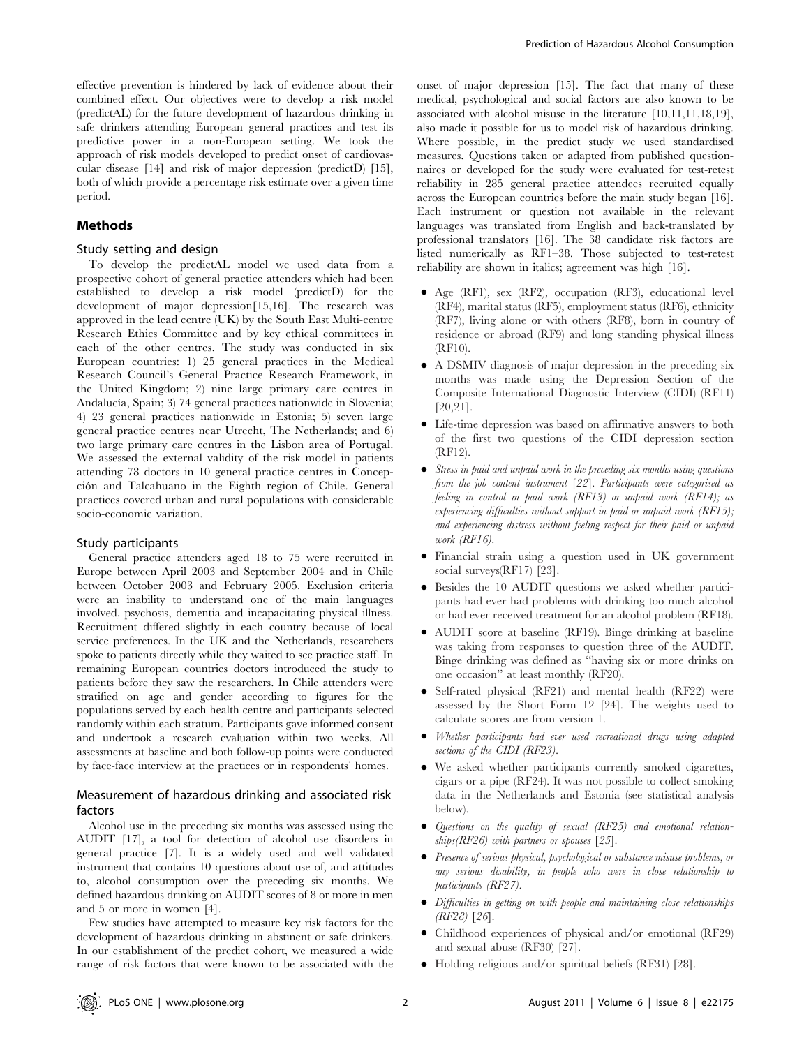effective prevention is hindered by lack of evidence about their combined effect. Our objectives were to develop a risk model (predictAL) for the future development of hazardous drinking in safe drinkers attending European general practices and test its predictive power in a non-European setting. We took the approach of risk models developed to predict onset of cardiovascular disease [14] and risk of major depression (predictD) [15], both of which provide a percentage risk estimate over a given time period.

#### Methods

#### Study setting and design

To develop the predictAL model we used data from a prospective cohort of general practice attenders which had been established to develop a risk model (predictD) for the development of major depression[15,16]. The research was approved in the lead centre (UK) by the South East Multi-centre Research Ethics Committee and by key ethical committees in each of the other centres. The study was conducted in six European countries: 1) 25 general practices in the Medical Research Council's General Practice Research Framework, in the United Kingdom; 2) nine large primary care centres in Andalucía, Spain; 3) 74 general practices nationwide in Slovenia; 4) 23 general practices nationwide in Estonia; 5) seven large general practice centres near Utrecht, The Netherlands; and 6) two large primary care centres in the Lisbon area of Portugal. We assessed the external validity of the risk model in patients attending 78 doctors in 10 general practice centres in Concepción and Talcahuano in the Eighth region of Chile. General practices covered urban and rural populations with considerable socio-economic variation.

#### Study participants

General practice attenders aged 18 to 75 were recruited in Europe between April 2003 and September 2004 and in Chile between October 2003 and February 2005. Exclusion criteria were an inability to understand one of the main languages involved, psychosis, dementia and incapacitating physical illness. Recruitment differed slightly in each country because of local service preferences. In the UK and the Netherlands, researchers spoke to patients directly while they waited to see practice staff. In remaining European countries doctors introduced the study to patients before they saw the researchers. In Chile attenders were stratified on age and gender according to figures for the populations served by each health centre and participants selected randomly within each stratum. Participants gave informed consent and undertook a research evaluation within two weeks. All assessments at baseline and both follow-up points were conducted by face-face interview at the practices or in respondents' homes.

## Measurement of hazardous drinking and associated risk factors

Alcohol use in the preceding six months was assessed using the AUDIT [17], a tool for detection of alcohol use disorders in general practice [7]. It is a widely used and well validated instrument that contains 10 questions about use of, and attitudes to, alcohol consumption over the preceding six months. We defined hazardous drinking on AUDIT scores of 8 or more in men and 5 or more in women [4].

Few studies have attempted to measure key risk factors for the development of hazardous drinking in abstinent or safe drinkers. In our establishment of the predict cohort, we measured a wide range of risk factors that were known to be associated with the

onset of major depression [15]. The fact that many of these medical, psychological and social factors are also known to be associated with alcohol misuse in the literature [10,11,11,18,19], also made it possible for us to model risk of hazardous drinking. Where possible, in the predict study we used standardised measures. Questions taken or adapted from published questionnaires or developed for the study were evaluated for test-retest reliability in 285 general practice attendees recruited equally across the European countries before the main study began [16]. Each instrument or question not available in the relevant languages was translated from English and back-translated by professional translators [16]. The 38 candidate risk factors are listed numerically as RF1–38. Those subjected to test-retest reliability are shown in italics; agreement was high [16].

- Age (RF1), sex (RF2), occupation (RF3), educational level (RF4), marital status (RF5), employment status (RF6), ethnicity (RF7), living alone or with others (RF8), born in country of residence or abroad (RF9) and long standing physical illness (RF10).
- A DSMIV diagnosis of major depression in the preceding six months was made using the Depression Section of the Composite International Diagnostic Interview (CIDI) (RF11) [20,21].
- N Life-time depression was based on affirmative answers to both of the first two questions of the CIDI depression section (RF12).
- Stress in paid and unpaid work in the preceding six months using questions from the job content instrument [22]. Participants were categorised as feeling in control in paid work (RF13) or unpaid work (RF14); as experiencing difficulties without support in paid or unpaid work (RF15); and experiencing distress without feeling respect for their paid or unpaid work (RF16).
- N Financial strain using a question used in UK government social surveys(RF17) [23].
- N Besides the 10 AUDIT questions we asked whether participants had ever had problems with drinking too much alcohol or had ever received treatment for an alcohol problem (RF18).
- AUDIT score at baseline (RF19). Binge drinking at baseline was taking from responses to question three of the AUDIT. Binge drinking was defined as ''having six or more drinks on one occasion'' at least monthly (RF20).
- Self-rated physical (RF21) and mental health (RF22) were assessed by the Short Form 12 [24]. The weights used to calculate scores are from version 1.
- Whether participants had ever used recreational drugs using adapted sections of the CIDI (RF23).
- We asked whether participants currently smoked cigarettes, cigars or a pipe (RF24). It was not possible to collect smoking data in the Netherlands and Estonia (see statistical analysis below).
- $\bullet$  Questions on the quality of sexual (RF25) and emotional relationships( $RF26$ ) with partners or spouses [25].
- Presence of serious physical, psychological or substance misuse problems, or any serious disability, in people who were in close relationship to participants (RF27).
- $\bullet$  Difficulties in getting on with people and maintaining close relationships (RF28) [26].
- Childhood experiences of physical and/or emotional (RF29) and sexual abuse (RF30) [27].
- Holding religious and/or spiritual beliefs (RF31) [28].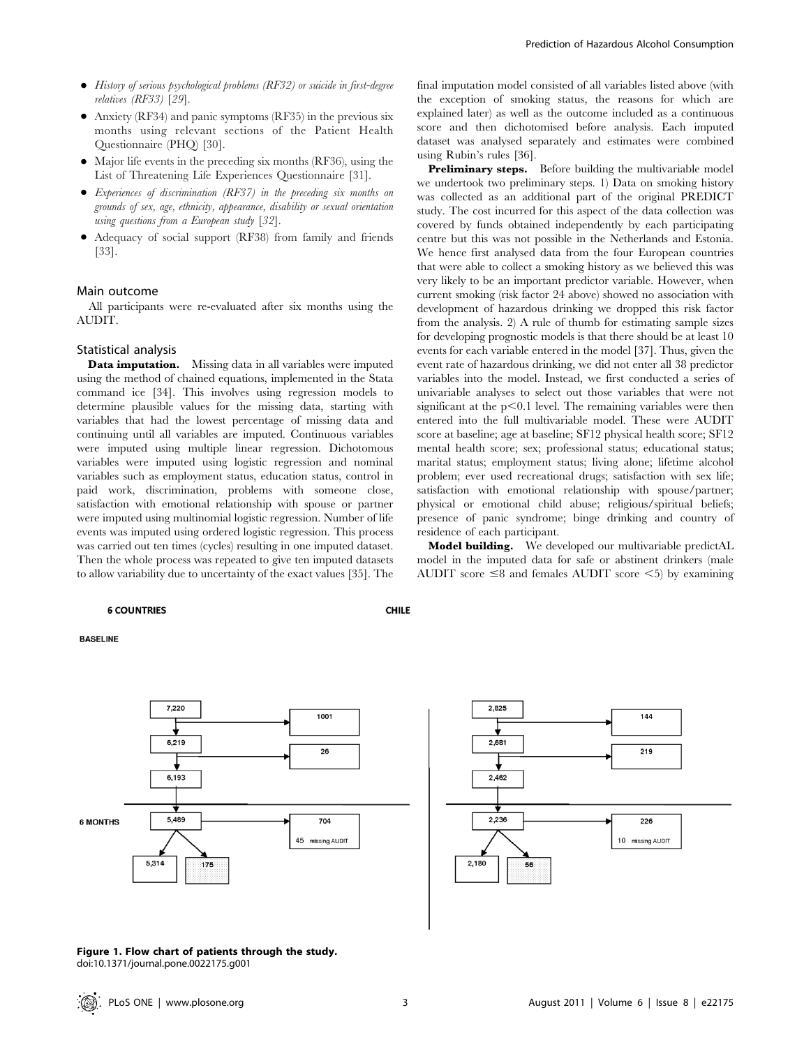- History of serious psychological problems (RF32) or suicide in first-degree relatives (RF33) [29].
- Anxiety (RF34) and panic symptoms (RF35) in the previous six months using relevant sections of the Patient Health Questionnaire (PHQ) [30].
- $\bullet$  Major life events in the preceding six months (RF36), using the List of Threatening Life Experiences Questionnaire [31].
- Experiences of discrimination (RF37) in the preceding six months on grounds of sex, age, ethnicity, appearance, disability or sexual orientation using questions from a European study [32].
- Adequacy of social support (RF38) from family and friends [33].

#### Main outcome

All participants were re-evaluated after six months using the AUDIT.

## Statistical analysis

**Data imputation.** Missing data in all variables were imputed using the method of chained equations, implemented in the Stata command ice [34]. This involves using regression models to determine plausible values for the missing data, starting with variables that had the lowest percentage of missing data and continuing until all variables are imputed. Continuous variables were imputed using multiple linear regression. Dichotomous variables were imputed using logistic regression and nominal variables such as employment status, education status, control in paid work, discrimination, problems with someone close, satisfaction with emotional relationship with spouse or partner were imputed using multinomial logistic regression. Number of life events was imputed using ordered logistic regression. This process was carried out ten times (cycles) resulting in one imputed dataset. Then the whole process was repeated to give ten imputed datasets to allow variability due to uncertainty of the exact values [35]. The

#### **6 COUNTRIES**

**BASELINE** 





final imputation model consisted of all variables listed above (with the exception of smoking status, the reasons for which are explained later) as well as the outcome included as a continuous score and then dichotomised before analysis. Each imputed dataset was analysed separately and estimates were combined using Rubin's rules [36].

Preliminary steps. Before building the multivariable model we undertook two preliminary steps. 1) Data on smoking history was collected as an additional part of the original PREDICT study. The cost incurred for this aspect of the data collection was covered by funds obtained independently by each participating centre but this was not possible in the Netherlands and Estonia. We hence first analysed data from the four European countries that were able to collect a smoking history as we believed this was very likely to be an important predictor variable. However, when current smoking (risk factor 24 above) showed no association with development of hazardous drinking we dropped this risk factor from the analysis. 2) A rule of thumb for estimating sample sizes for developing prognostic models is that there should be at least 10 events for each variable entered in the model [37]. Thus, given the event rate of hazardous drinking, we did not enter all 38 predictor variables into the model. Instead, we first conducted a series of univariable analyses to select out those variables that were not significant at the  $p<0.1$  level. The remaining variables were then entered into the full multivariable model. These were AUDIT score at baseline; age at baseline; SF12 physical health score; SF12 mental health score; sex; professional status; educational status; marital status; employment status; living alone; lifetime alcohol problem; ever used recreational drugs; satisfaction with sex life; satisfaction with emotional relationship with spouse/partner; physical or emotional child abuse; religious/spiritual beliefs; presence of panic syndrome; binge drinking and country of residence of each participant.

Model building. We developed our multivariable predictAL model in the imputed data for safe or abstinent drinkers (male AUDIT score  $\leq$ 8 and females AUDIT score  $\leq$ 5) by examining

## **CHILE**

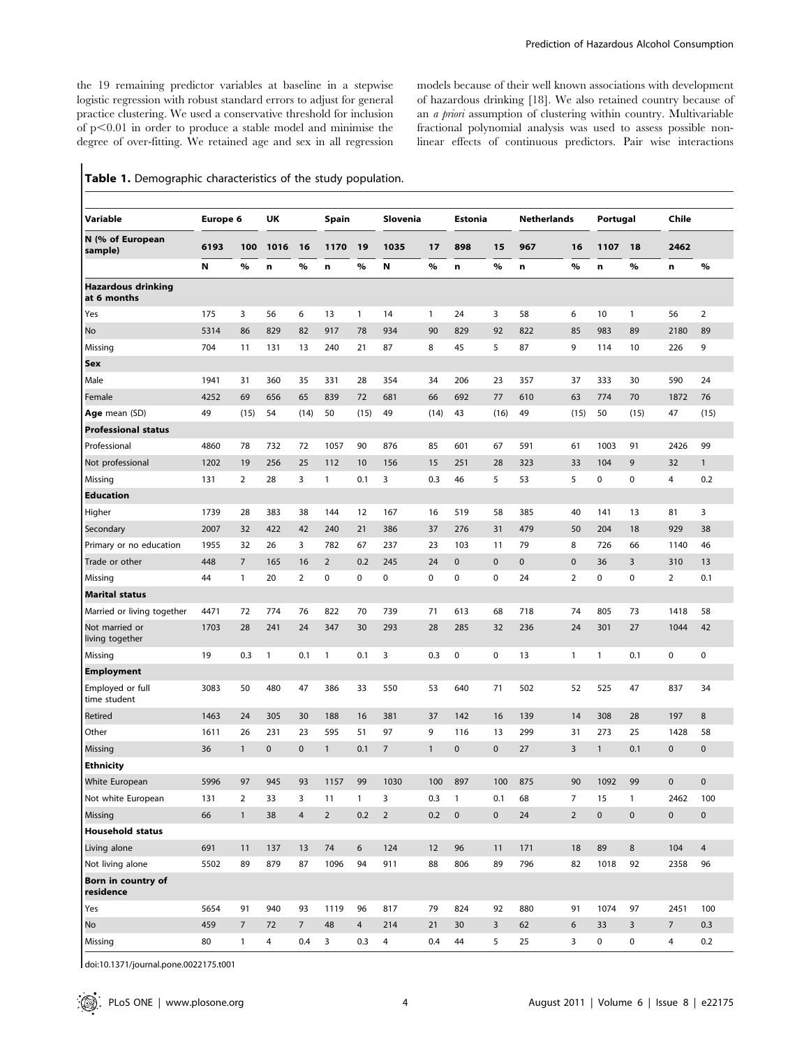the 19 remaining predictor variables at baseline in a stepwise logistic regression with robust standard errors to adjust for general practice clustering. We used a conservative threshold for inclusion of  $p<0.01$  in order to produce a stable model and minimise the degree of over-fitting. We retained age and sex in all regression models because of their well known associations with development of hazardous drinking [18]. We also retained country because of an *a priori* assumption of clustering within country. Multivariable fractional polynomial analysis was used to assess possible nonlinear effects of continuous predictors. Pair wise interactions

|  | Table 1. Demographic characteristics of the study population. |  |  |  |  |
|--|---------------------------------------------------------------|--|--|--|--|
|--|---------------------------------------------------------------|--|--|--|--|

| Variable                                 | Europe 6 |                | UK           |                 | Spain          |                | Slovenia       |              | Estonia      |             | <b>Netherlands</b> |                | Portugal     |                | Chile          |                |
|------------------------------------------|----------|----------------|--------------|-----------------|----------------|----------------|----------------|--------------|--------------|-------------|--------------------|----------------|--------------|----------------|----------------|----------------|
| N (% of European<br>sample)              | 6193     | 100            | 1016         | 16              | 1170           | 19             | 1035           | 17           | 898          | 15          | 967                | 16             | 1107         | 18             | 2462           |                |
|                                          | N        | %              | n            | %               | n              | $\%$           | Ν              | %            | n            | %           | n                  | %              | n            | %              | n              | %              |
| <b>Hazardous drinking</b><br>at 6 months |          |                |              |                 |                |                |                |              |              |             |                    |                |              |                |                |                |
| Yes                                      | 175      | 3              | 56           | 6               | 13             | $\mathbf{1}$   | 14             | 1            | 24           | 3           | 58                 | 6              | 10           | $\mathbf{1}$   | 56             | $\overline{2}$ |
| No                                       | 5314     | 86             | 829          | 82              | 917            | 78             | 934            | 90           | 829          | 92          | 822                | 85             | 983          | 89             | 2180           | 89             |
| Missing                                  | 704      | 11             | 131          | 13              | 240            | 21             | 87             | 8            | 45           | 5           | 87                 | 9              | 114          | 10             | 226            | 9              |
| Sex                                      |          |                |              |                 |                |                |                |              |              |             |                    |                |              |                |                |                |
| Male                                     | 1941     | 31             | 360          | 35              | 331            | 28             | 354            | 34           | 206          | 23          | 357                | 37             | 333          | 30             | 590            | 24             |
| Female                                   | 4252     | 69             | 656          | 65              | 839            | 72             | 681            | 66           | 692          | 77          | 610                | 63             | 774          | 70             | 1872           | 76             |
| Age mean (SD)                            | 49       | (15)           | 54           | (14)            | 50             | (15)           | 49             | (14)         | 43           | (16)        | 49                 | (15)           | 50           | (15)           | 47             | (15)           |
| <b>Professional status</b>               |          |                |              |                 |                |                |                |              |              |             |                    |                |              |                |                |                |
| Professional                             | 4860     | 78             | 732          | 72              | 1057           | 90             | 876            | 85           | 601          | 67          | 591                | 61             | 1003         | 91             | 2426           | 99             |
| Not professional                         | 1202     | 19             | 256          | 25              | 112            | 10             | 156            | 15           | 251          | 28          | 323                | 33             | 104          | 9              | 32             | $\mathbf{1}$   |
| Missing                                  | 131      | $\overline{2}$ | 28           | 3               | 1              | 0.1            | 3              | 0.3          | 46           | 5           | 53                 | 5              | 0            | 0              | 4              | 0.2            |
| <b>Education</b>                         |          |                |              |                 |                |                |                |              |              |             |                    |                |              |                |                |                |
| Higher                                   | 1739     | 28             | 383          | 38              | 144            | 12             | 167            | 16           | 519          | 58          | 385                | 40             | 141          | 13             | 81             | 3              |
| Secondary                                | 2007     | 32             | 422          | 42              | 240            | 21             | 386            | 37           | 276          | 31          | 479                | 50             | 204          | 18             | 929            | 38             |
| Primary or no education                  | 1955     | 32             | 26           | 3               | 782            | 67             | 237            | 23           | 103          | 11          | 79                 | 8              | 726          | 66             | 1140           | 46             |
| Trade or other                           | 448      | $\overline{7}$ | 165          | 16              | $\overline{2}$ | 0.2            | 245            | 24           | 0            | $\pmb{0}$   | 0                  | 0              | 36           | 3              | 310            | 13             |
| Missing                                  | 44       | 1              | 20           | 2               | $\pmb{0}$      | 0              | 0              | 0            | 0            | $\pmb{0}$   | 24                 | $\overline{2}$ | 0            | 0              | $\overline{2}$ | 0.1            |
| <b>Marital status</b>                    |          |                |              |                 |                |                |                |              |              |             |                    |                |              |                |                |                |
| Married or living together               | 4471     | 72             | 774          | 76              | 822            | 70             | 739            | 71           | 613          | 68          | 718                | 74             | 805          | 73             | 1418           | 58             |
| Not married or<br>living together        | 1703     | 28             | 241          | 24              | 347            | 30             | 293            | 28           | 285          | 32          | 236                | 24             | 301          | 27             | 1044           | 42             |
| Missing                                  | 19       | 0.3            | $\mathbf{1}$ | 0.1             | $\mathbf{1}$   | 0.1            | 3              | 0.3          | $\pmb{0}$    | 0           | 13                 | 1              | $\mathbf{1}$ | 0.1            | 0              | 0              |
| <b>Employment</b>                        |          |                |              |                 |                |                |                |              |              |             |                    |                |              |                |                |                |
| Employed or full<br>time student         | 3083     | 50             | 480          | 47              | 386            | 33             | 550            | 53           | 640          | 71          | 502                | 52             | 525          | 47             | 837            | 34             |
| Retired                                  | 1463     | 24             | 305          | 30              | 188            | 16             | 381            | 37           | 142          | 16          | 139                | 14             | 308          | 28             | 197            | 8              |
| Other                                    | 1611     | 26             | 231          | 23              | 595            | 51             | 97             | 9            | 116          | 13          | 299                | 31             | 273          | 25             | 1428           | 58             |
| Missing                                  | 36       | $\mathbf{1}$   | $\mathbf 0$  | 0               | $\mathbf{1}$   | 0.1            | $\overline{7}$ | $\mathbf{1}$ | 0            | $\mathbf 0$ | 27                 | 3              | $\mathbf{1}$ | 0.1            | $\mathbf 0$    | 0              |
| <b>Ethnicity</b>                         |          |                |              |                 |                |                |                |              |              |             |                    |                |              |                |                |                |
| White European                           | 5996     | 97             | 945          | 93              | 1157           | 99             | 1030           | 100          | 897          | 100         | 875                | 90             | 1092         | 99             | $\pmb{0}$      | 0              |
| Not white European                       | 131      | $\overline{2}$ | 33           | 3               | 11             | $\mathbf{1}$   | 3              | 0.3          | $\mathbf{1}$ | 0.1         | 68                 | $\overline{7}$ | 15           | $\mathbf{1}$   | 2462           | 100            |
| Missing                                  | 66       | $\mathbf{1}$   | 38           | $\overline{4}$  | $\overline{2}$ | 0.2            | $\overline{2}$ | 0.2          | $\pmb{0}$    | $\pmb{0}$   | 24                 | $\overline{2}$ | $\mathbf 0$  | $\pmb{0}$      | $\pmb{0}$      | $\pmb{0}$      |
| <b>Household status</b>                  |          |                |              |                 |                |                |                |              |              |             |                    |                |              |                |                |                |
| Living alone                             | 691      | 11             | 137          | 13              | 74             | 6              | 124            | 12           | 96           | 11          | 171                | 18             | 89           | 8              | 104            | $\overline{4}$ |
| Not living alone                         | 5502     | 89             | 879          | 87              | 1096           | 94             | 911            | 88           | 806          | 89          | 796                | 82             | 1018         | 92             | 2358           | 96             |
| Born in country of<br>residence          |          |                |              |                 |                |                |                |              |              |             |                    |                |              |                |                |                |
| Yes                                      | 5654     | 91             | 940          | 93              | 1119           | 96             | 817            | 79           | 824          | 92          | 880                | 91             | 1074         | 97             | 2451           | 100            |
| No                                       | 459      | $\overline{7}$ | 72           | $7\overline{ }$ | 48             | $\overline{4}$ | 214            | 21           | 30           | 3           | 62                 | 6              | 33           | $\overline{3}$ | $\overline{7}$ | 0.3            |
| Missing                                  | 80       | $\mathbf{1}$   | 4            | 0.4             | 3              | 0.3            | 4              | 0.4          | 44           | 5           | 25                 | 3              | 0            | 0              | 4              | 0.2            |

doi:10.1371/journal.pone.0022175.t001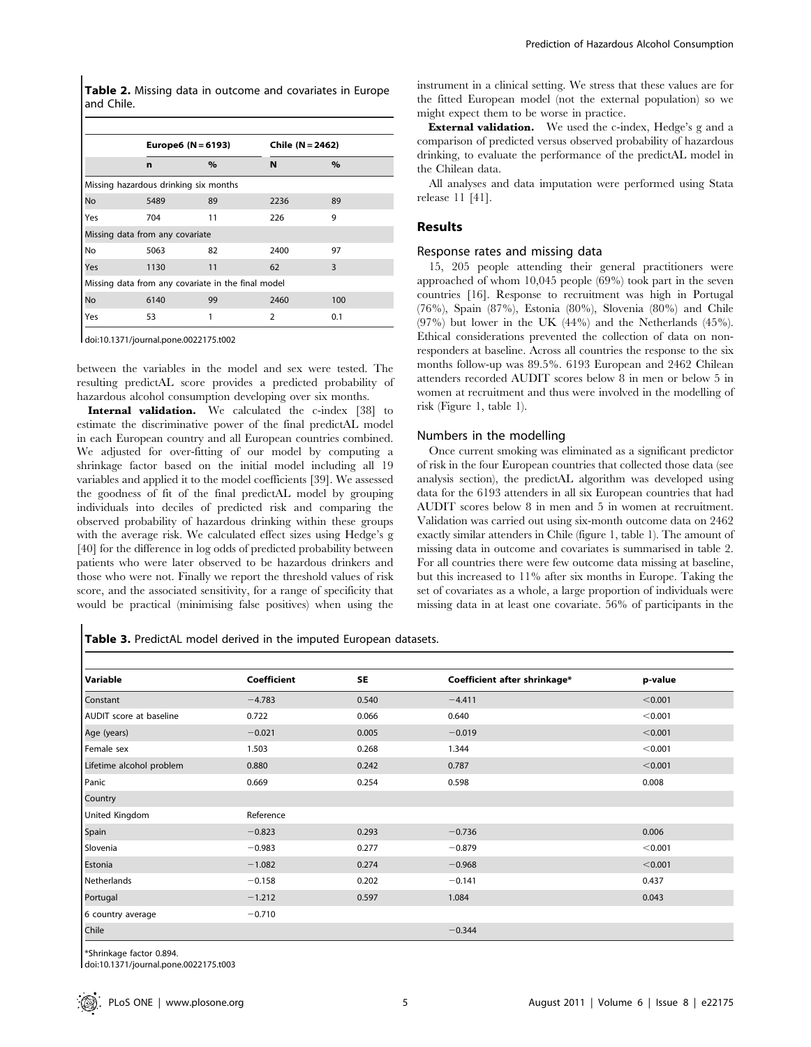Table 2. Missing data in outcome and covariates in Europe and Chile.

|                                                    |                                       | Europe6 (N = 6193) |                | Chile $(N = 2462)$ |  |  |  |  |
|----------------------------------------------------|---------------------------------------|--------------------|----------------|--------------------|--|--|--|--|
|                                                    | n                                     | $\%$               | N              | $\%$               |  |  |  |  |
|                                                    | Missing hazardous drinking six months |                    |                |                    |  |  |  |  |
| No                                                 | 5489                                  | 89                 | 2236           | 89                 |  |  |  |  |
| Yes                                                | 704                                   | 11                 | 226            | 9                  |  |  |  |  |
|                                                    | Missing data from any covariate       |                    |                |                    |  |  |  |  |
| No                                                 | 5063                                  | 82                 | 2400           | 97                 |  |  |  |  |
| Yes                                                | 1130                                  | 11                 | 62             | 3                  |  |  |  |  |
| Missing data from any covariate in the final model |                                       |                    |                |                    |  |  |  |  |
| No                                                 | 6140                                  | 99                 | 2460           | 100                |  |  |  |  |
| Yes                                                | 1<br>53                               |                    | $\overline{2}$ | 0.1                |  |  |  |  |

doi:10.1371/journal.pone.0022175.t002

between the variables in the model and sex were tested. The resulting predictAL score provides a predicted probability of hazardous alcohol consumption developing over six months.

Internal validation. We calculated the c-index [38] to estimate the discriminative power of the final predictAL model in each European country and all European countries combined. We adjusted for over-fitting of our model by computing a shrinkage factor based on the initial model including all 19 variables and applied it to the model coefficients [39]. We assessed the goodness of fit of the final predictAL model by grouping individuals into deciles of predicted risk and comparing the observed probability of hazardous drinking within these groups with the average risk. We calculated effect sizes using Hedge's g [40] for the difference in log odds of predicted probability between patients who were later observed to be hazardous drinkers and those who were not. Finally we report the threshold values of risk score, and the associated sensitivity, for a range of specificity that would be practical (minimising false positives) when using the

instrument in a clinical setting. We stress that these values are for the fitted European model (not the external population) so we might expect them to be worse in practice.

External validation. We used the c-index, Hedge's g and a comparison of predicted versus observed probability of hazardous drinking, to evaluate the performance of the predictAL model in the Chilean data.

All analyses and data imputation were performed using Stata release 11 [41].

## Results

#### Response rates and missing data

15, 205 people attending their general practitioners were approached of whom 10,045 people (69%) took part in the seven countries [16]. Response to recruitment was high in Portugal (76%), Spain (87%), Estonia (80%), Slovenia (80%) and Chile (97%) but lower in the UK (44%) and the Netherlands (45%). Ethical considerations prevented the collection of data on nonresponders at baseline. Across all countries the response to the six months follow-up was 89.5%. 6193 European and 2462 Chilean attenders recorded AUDIT scores below 8 in men or below 5 in women at recruitment and thus were involved in the modelling of risk (Figure 1, table 1).

#### Numbers in the modelling

Once current smoking was eliminated as a significant predictor of risk in the four European countries that collected those data (see analysis section), the predictAL algorithm was developed using data for the 6193 attenders in all six European countries that had AUDIT scores below 8 in men and 5 in women at recruitment. Validation was carried out using six-month outcome data on 2462 exactly similar attenders in Chile (figure 1, table 1). The amount of missing data in outcome and covariates is summarised in table 2. For all countries there were few outcome data missing at baseline, but this increased to 11% after six months in Europe. Taking the set of covariates as a whole, a large proportion of individuals were missing data in at least one covariate. 56% of participants in the

Table 3. PredictAL model derived in the imputed European datasets.

| Variable                       | Coefficient | <b>SE</b> | Coefficient after shrinkage* | p-value |
|--------------------------------|-------------|-----------|------------------------------|---------|
| Constant                       | $-4.783$    | 0.540     | $-4.411$                     | < 0.001 |
| <b>AUDIT</b> score at baseline | 0.722       | 0.066     | 0.640                        | < 0.001 |
| Age (years)                    | $-0.021$    | 0.005     | $-0.019$                     | < 0.001 |
| Female sex                     | 1.503       | 0.268     | 1.344                        | < 0.001 |
| Lifetime alcohol problem       | 0.880       | 0.242     | 0.787                        | < 0.001 |
| Panic                          | 0.669       | 0.254     | 0.598                        | 0.008   |
| Country                        |             |           |                              |         |
| <b>United Kingdom</b>          | Reference   |           |                              |         |
| Spain                          | $-0.823$    | 0.293     | $-0.736$                     | 0.006   |
| Slovenia                       | $-0.983$    | 0.277     | $-0.879$                     | < 0.001 |
| Estonia                        | $-1.082$    | 0.274     | $-0.968$                     | < 0.001 |
| Netherlands                    | $-0.158$    | 0.202     | $-0.141$                     | 0.437   |
| Portugal                       | $-1.212$    | 0.597     | 1.084                        | 0.043   |
| 6 country average              | $-0.710$    |           |                              |         |
| Chile                          |             |           | $-0.344$                     |         |

\*Shrinkage factor 0.894.

doi:10.1371/journal.pone.0022175.t003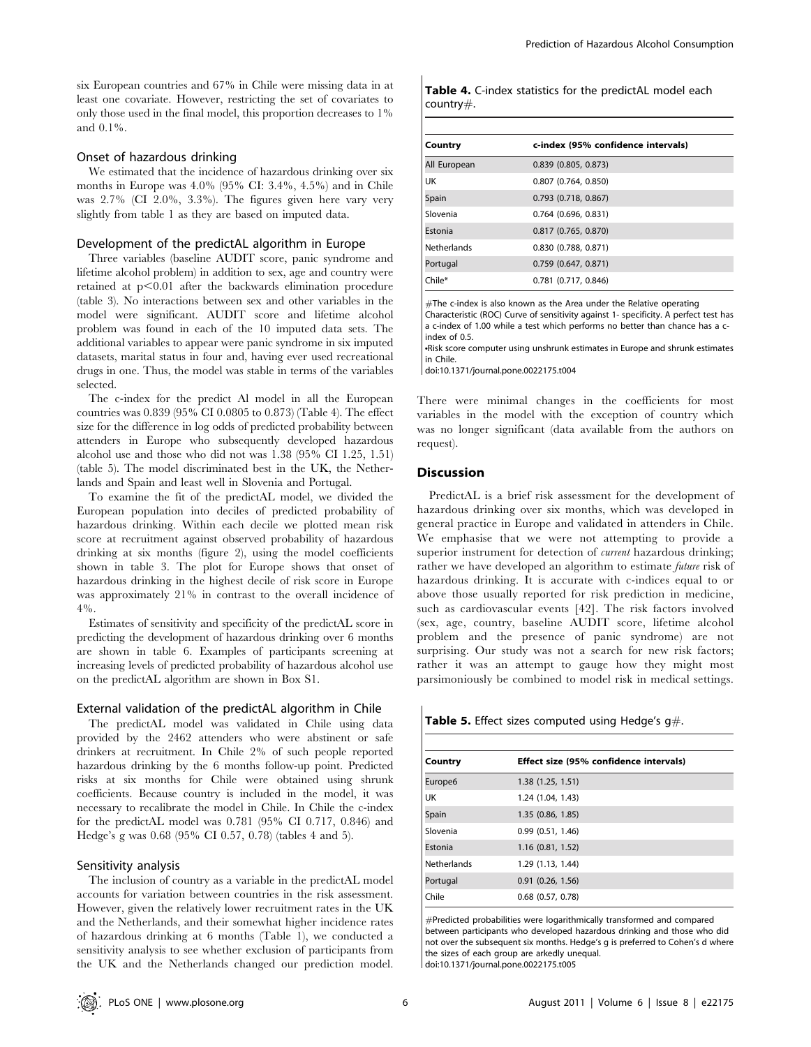six European countries and 67% in Chile were missing data in at least one covariate. However, restricting the set of covariates to only those used in the final model, this proportion decreases to 1% and 0.1%.

## Onset of hazardous drinking

We estimated that the incidence of hazardous drinking over six months in Europe was 4.0% (95% CI: 3.4%, 4.5%) and in Chile was 2.7% (CI 2.0%, 3.3%). The figures given here vary very slightly from table 1 as they are based on imputed data.

#### Development of the predictAL algorithm in Europe

Three variables (baseline AUDIT score, panic syndrome and lifetime alcohol problem) in addition to sex, age and country were retained at  $p<0.01$  after the backwards elimination procedure (table 3). No interactions between sex and other variables in the model were significant. AUDIT score and lifetime alcohol problem was found in each of the 10 imputed data sets. The additional variables to appear were panic syndrome in six imputed datasets, marital status in four and, having ever used recreational drugs in one. Thus, the model was stable in terms of the variables selected.

The c-index for the predict Al model in all the European countries was 0.839 (95% CI 0.0805 to 0.873) (Table 4). The effect size for the difference in log odds of predicted probability between attenders in Europe who subsequently developed hazardous alcohol use and those who did not was 1.38 (95% CI 1.25, 1.51) (table 5). The model discriminated best in the UK, the Netherlands and Spain and least well in Slovenia and Portugal.

To examine the fit of the predictAL model, we divided the European population into deciles of predicted probability of hazardous drinking. Within each decile we plotted mean risk score at recruitment against observed probability of hazardous drinking at six months (figure 2), using the model coefficients shown in table 3. The plot for Europe shows that onset of hazardous drinking in the highest decile of risk score in Europe was approximately 21% in contrast to the overall incidence of 4%.

Estimates of sensitivity and specificity of the predictAL score in predicting the development of hazardous drinking over 6 months are shown in table 6. Examples of participants screening at increasing levels of predicted probability of hazardous alcohol use on the predictAL algorithm are shown in Box S1.

#### External validation of the predictAL algorithm in Chile

The predictAL model was validated in Chile using data provided by the 2462 attenders who were abstinent or safe drinkers at recruitment. In Chile 2% of such people reported hazardous drinking by the 6 months follow-up point. Predicted risks at six months for Chile were obtained using shrunk coefficients. Because country is included in the model, it was necessary to recalibrate the model in Chile. In Chile the c-index for the predictAL model was 0.781 (95% CI 0.717, 0.846) and Hedge's g was 0.68 (95% CI 0.57, 0.78) (tables 4 and 5).

### Sensitivity analysis

The inclusion of country as a variable in the predictAL model accounts for variation between countries in the risk assessment. However, given the relatively lower recruitment rates in the UK and the Netherlands, and their somewhat higher incidence rates of hazardous drinking at 6 months (Table 1), we conducted a sensitivity analysis to see whether exclusion of participants from the UK and the Netherlands changed our prediction model.

| Country            | c-index (95% confidence intervals) |
|--------------------|------------------------------------|
| All European       | $0.839$ (0.805, 0.873)             |
| UK                 | $0.807$ $(0.764, 0.850)$           |
| Spain              | $0.793$ $(0.718, 0.867)$           |
| Slovenia           | $0.764$ $(0.696, 0.831)$           |
| Estonia            | $0.817$ (0.765, 0.870)             |
| <b>Netherlands</b> | $0.830$ $(0.788, 0.871)$           |
| Portugal           | $0.759$ (0.647, 0.871)             |
| Chile*             | $0.781$ $(0.717, 0.846)$           |

Table 4. C-index statistics for the predictAL model each

 $#$ The c-index is also known as the Area under the Relative operating Characteristic (ROC) Curve of sensitivity against 1- specificity. A perfect test has a c-index of 1.00 while a test which performs no better than chance has a cindex of 0.5.

·Risk score computer using unshrunk estimates in Europe and shrunk estimates in Chile.

doi:10.1371/journal.pone.0022175.t004

There were minimal changes in the coefficients for most variables in the model with the exception of country which was no longer significant (data available from the authors on request).

#### **Discussion**

country#.

PredictAL is a brief risk assessment for the development of hazardous drinking over six months, which was developed in general practice in Europe and validated in attenders in Chile. We emphasise that we were not attempting to provide a superior instrument for detection of *current* hazardous drinking; rather we have developed an algorithm to estimate future risk of hazardous drinking. It is accurate with c-indices equal to or above those usually reported for risk prediction in medicine, such as cardiovascular events [42]. The risk factors involved (sex, age, country, baseline AUDIT score, lifetime alcohol problem and the presence of panic syndrome) are not surprising. Our study was not a search for new risk factors; rather it was an attempt to gauge how they might most parsimoniously be combined to model risk in medical settings.

Table 5. Effect sizes computed using Hedge's  $q\#$ .

| Country     | Effect size (95% confidence intervals) |
|-------------|----------------------------------------|
| Europe6     | 1.38(1.25, 1.51)                       |
| UK          | 1.24 (1.04, 1.43)                      |
| Spain       | 1.35 (0.86, 1.85)                      |
| Slovenia    | 0.99(0.51, 1.46)                       |
| Estonia     | 1.16 (0.81, 1.52)                      |
| Netherlands | 1.29 (1.13, 1.44)                      |
| Portugal    | $0.91$ $(0.26, 1.56)$                  |
| Chile       | $0.68$ $(0.57, 0.78)$                  |

#Predicted probabilities were logarithmically transformed and compared between participants who developed hazardous drinking and those who did not over the subsequent six months. Hedge's g is preferred to Cohen's d where the sizes of each group are arkedly unequal. doi:10.1371/journal.pone.0022175.t005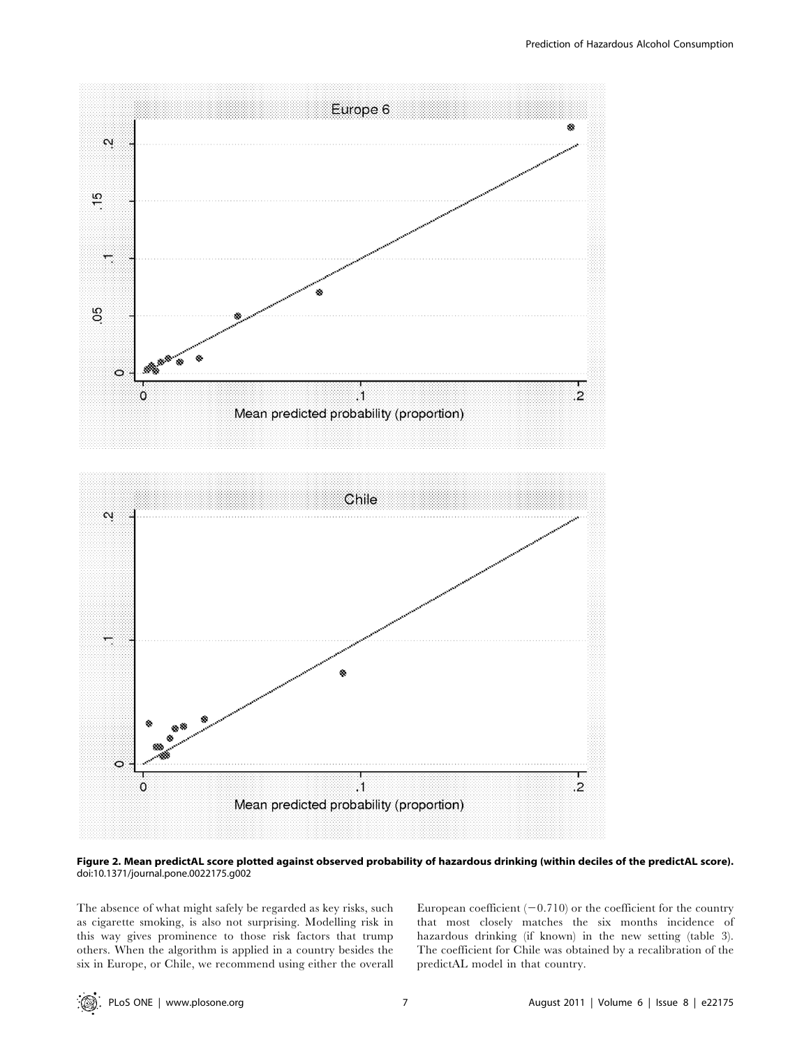



#### Figure 2. Mean predictAL score plotted against observed probability of hazardous drinking (within deciles of the predictAL score). doi:10.1371/journal.pone.0022175.g002

The absence of what might safely be regarded as key risks, such as cigarette smoking, is also not surprising. Modelling risk in this way gives prominence to those risk factors that trump others. When the algorithm is applied in a country besides the six in Europe, or Chile, we recommend using either the overall European coefficient  $(-0.710)$  or the coefficient for the country that most closely matches the six months incidence of hazardous drinking (if known) in the new setting (table 3). The coefficient for Chile was obtained by a recalibration of the predictAL model in that country.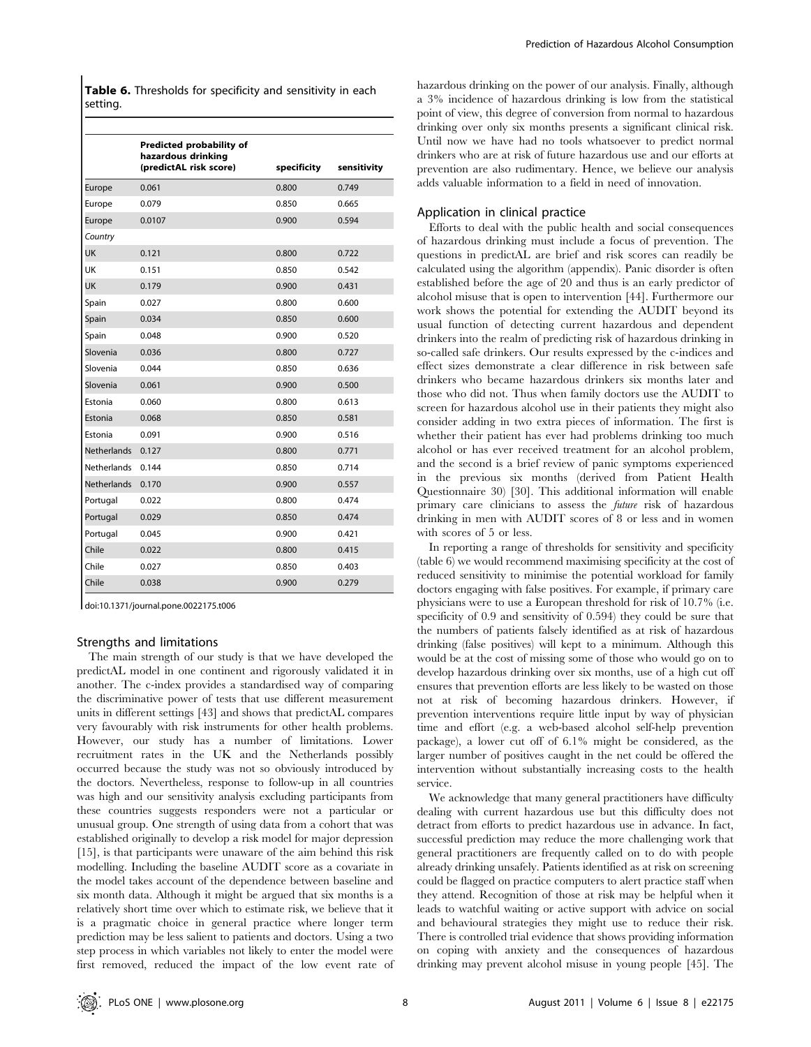Table 6. Thresholds for specificity and sensitivity in each setting.

|                    | Predicted probability of<br>hazardous drinking<br>(predictAL risk score) |             |             |
|--------------------|--------------------------------------------------------------------------|-------------|-------------|
|                    |                                                                          | specificity | sensitivity |
| Europe             | 0.061                                                                    | 0.800       | 0.749       |
| Europe             | 0.079                                                                    | 0.850       | 0.665       |
| Europe             | 0.0107                                                                   | 0.900       | 0.594       |
| Country            |                                                                          |             |             |
| <b>UK</b>          | 0.121                                                                    | 0.800       | 0.722       |
| UK                 | 0.151                                                                    | 0.850       | 0.542       |
| UK                 | 0.179                                                                    | 0.900       | 0.431       |
| Spain              | 0.027                                                                    | 0.800       | 0.600       |
| Spain              | 0.034                                                                    | 0.850       | 0.600       |
| Spain              | 0.048                                                                    | 0.900       | 0.520       |
| Slovenia           | 0.036                                                                    | 0.800       | 0.727       |
| Slovenia           | 0.044                                                                    | 0.850       | 0.636       |
| Slovenia           | 0.061                                                                    | 0.900       | 0.500       |
| Estonia            | 0.060                                                                    | 0.800       | 0.613       |
| Estonia            | 0.068                                                                    | 0.850       | 0.581       |
| Estonia            | 0.091                                                                    | 0.900       | 0.516       |
| <b>Netherlands</b> | 0.127                                                                    | 0.800       | 0.771       |
| <b>Netherlands</b> | 0.144                                                                    | 0.850       | 0.714       |
| <b>Netherlands</b> | 0.170                                                                    | 0.900       | 0.557       |
| Portugal           | 0.022                                                                    | 0.800       | 0.474       |
| Portugal           | 0.029                                                                    | 0.850       | 0.474       |
| Portugal           | 0.045                                                                    | 0.900       | 0.421       |
| Chile              | 0.022                                                                    | 0.800       | 0.415       |
| Chile              | 0.027                                                                    | 0.850       | 0.403       |
| Chile              | 0.038                                                                    | 0.900       | 0.279       |

doi:10.1371/journal.pone.0022175.t006

#### Strengths and limitations

The main strength of our study is that we have developed the predictAL model in one continent and rigorously validated it in another. The c-index provides a standardised way of comparing the discriminative power of tests that use different measurement units in different settings [43] and shows that predictAL compares very favourably with risk instruments for other health problems. However, our study has a number of limitations. Lower recruitment rates in the UK and the Netherlands possibly occurred because the study was not so obviously introduced by the doctors. Nevertheless, response to follow-up in all countries was high and our sensitivity analysis excluding participants from these countries suggests responders were not a particular or unusual group. One strength of using data from a cohort that was established originally to develop a risk model for major depression [15], is that participants were unaware of the aim behind this risk modelling. Including the baseline AUDIT score as a covariate in the model takes account of the dependence between baseline and six month data. Although it might be argued that six months is a relatively short time over which to estimate risk, we believe that it is a pragmatic choice in general practice where longer term prediction may be less salient to patients and doctors. Using a two step process in which variables not likely to enter the model were first removed, reduced the impact of the low event rate of hazardous drinking on the power of our analysis. Finally, although a 3% incidence of hazardous drinking is low from the statistical point of view, this degree of conversion from normal to hazardous drinking over only six months presents a significant clinical risk. Until now we have had no tools whatsoever to predict normal drinkers who are at risk of future hazardous use and our efforts at prevention are also rudimentary. Hence, we believe our analysis adds valuable information to a field in need of innovation.

#### Application in clinical practice

Efforts to deal with the public health and social consequences of hazardous drinking must include a focus of prevention. The questions in predictAL are brief and risk scores can readily be calculated using the algorithm (appendix). Panic disorder is often established before the age of 20 and thus is an early predictor of alcohol misuse that is open to intervention [44]. Furthermore our work shows the potential for extending the AUDIT beyond its usual function of detecting current hazardous and dependent drinkers into the realm of predicting risk of hazardous drinking in so-called safe drinkers. Our results expressed by the c-indices and effect sizes demonstrate a clear difference in risk between safe drinkers who became hazardous drinkers six months later and those who did not. Thus when family doctors use the AUDIT to screen for hazardous alcohol use in their patients they might also consider adding in two extra pieces of information. The first is whether their patient has ever had problems drinking too much alcohol or has ever received treatment for an alcohol problem, and the second is a brief review of panic symptoms experienced in the previous six months (derived from Patient Health Questionnaire 30) [30]. This additional information will enable primary care clinicians to assess the future risk of hazardous drinking in men with AUDIT scores of 8 or less and in women with scores of 5 or less.

In reporting a range of thresholds for sensitivity and specificity (table 6) we would recommend maximising specificity at the cost of reduced sensitivity to minimise the potential workload for family doctors engaging with false positives. For example, if primary care physicians were to use a European threshold for risk of 10.7% (i.e. specificity of 0.9 and sensitivity of 0.594) they could be sure that the numbers of patients falsely identified as at risk of hazardous drinking (false positives) will kept to a minimum. Although this would be at the cost of missing some of those who would go on to develop hazardous drinking over six months, use of a high cut off ensures that prevention efforts are less likely to be wasted on those not at risk of becoming hazardous drinkers. However, if prevention interventions require little input by way of physician time and effort (e.g. a web-based alcohol self-help prevention package), a lower cut off of 6.1% might be considered, as the larger number of positives caught in the net could be offered the intervention without substantially increasing costs to the health service.

We acknowledge that many general practitioners have difficulty dealing with current hazardous use but this difficulty does not detract from efforts to predict hazardous use in advance. In fact, successful prediction may reduce the more challenging work that general practitioners are frequently called on to do with people already drinking unsafely. Patients identified as at risk on screening could be flagged on practice computers to alert practice staff when they attend. Recognition of those at risk may be helpful when it leads to watchful waiting or active support with advice on social and behavioural strategies they might use to reduce their risk. There is controlled trial evidence that shows providing information on coping with anxiety and the consequences of hazardous drinking may prevent alcohol misuse in young people [45]. The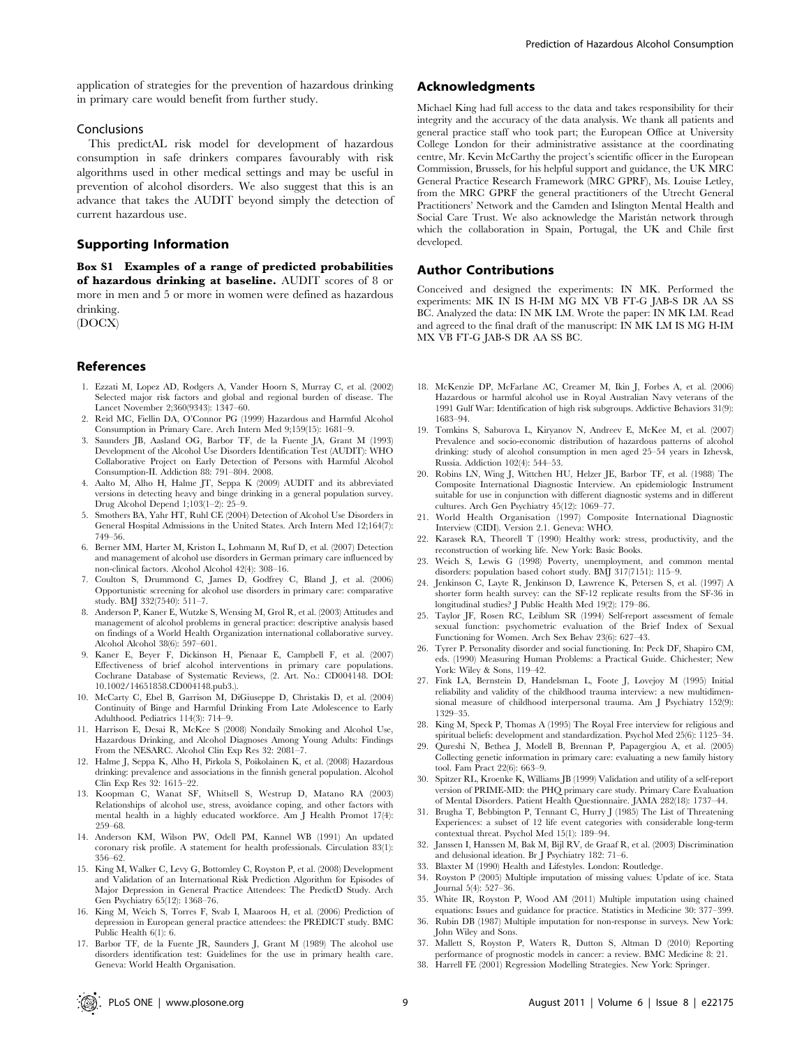application of strategies for the prevention of hazardous drinking in primary care would benefit from further study.

## Conclusions

This predictAL risk model for development of hazardous consumption in safe drinkers compares favourably with risk algorithms used in other medical settings and may be useful in prevention of alcohol disorders. We also suggest that this is an advance that takes the AUDIT beyond simply the detection of current hazardous use.

## Supporting Information

Box S1 Examples of a range of predicted probabilities of hazardous drinking at baseline. AUDIT scores of 8 or more in men and 5 or more in women were defined as hazardous drinking.

(DOCX)

#### References

- 1. Ezzati M, Lopez AD, Rodgers A, Vander Hoorn S, Murray C, et al. (2002) Selected major risk factors and global and regional burden of disease. The Lancet November 2;360(9343): 1347–60.
- 2. Reid MC, Fiellin DA, O'Connor PG (1999) Hazardous and Harmful Alcohol Consumption in Primary Care. Arch Intern Med 9;159(15): 1681–9.
- 3. Saunders JB, Aasland OG, Barbor TF, de la Fuente JA, Grant M (1993) Development of the Alcohol Use Disorders Identification Test (AUDIT): WHO Collaborative Project on Early Detection of Persons with Harmful Alcohol Consumption-II. Addiction 88: 791–804. 2008.
- 4. Aalto M, Alho H, Halme JT, Seppa K (2009) AUDIT and its abbreviated versions in detecting heavy and binge drinking in a general population survey. Drug Alcohol Depend 1;103(1–2): 25–9.
- 5. Smothers BA, Yahr HT, Ruhl CE (2004) Detection of Alcohol Use Disorders in General Hospital Admissions in the United States. Arch Intern Med 12;164(7): 749–56.
- 6. Berner MM, Harter M, Kriston L, Lohmann M, Ruf D, et al. (2007) Detection and management of alcohol use disorders in German primary care influenced by non-clinical factors. Alcohol Alcohol 42(4): 308–16.
- 7. Coulton S, Drummond C, James D, Godfrey C, Bland J, et al. (2006) Opportunistic screening for alcohol use disorders in primary care: comparative study. BMJ 332(7540): 511–7.
- 8. Anderson P, Kaner E, Wutzke S, Wensing M, Grol R, et al. (2003) Attitudes and management of alcohol problems in general practice: descriptive analysis based on findings of a World Health Organization international collaborative survey. Alcohol Alcohol 38(6): 597–601.
- 9. Kaner E, Beyer F, Dickinson H, Pienaar E, Campbell F, et al. (2007) Effectiveness of brief alcohol interventions in primary care populations. Cochrane Database of Systematic Reviews, (2. Art. No.: CD004148. DOI: 10.1002/14651858.CD004148.pub3.).
- 10. McCarty C, Ebel B, Garrison M, DiGiuseppe D, Christakis D, et al. (2004) Continuity of Binge and Harmful Drinking From Late Adolescence to Early Adulthood. Pediatrics 114(3): 714–9.
- 11. Harrison E, Desai R, McKee S (2008) Nondaily Smoking and Alcohol Use, Hazardous Drinking, and Alcohol Diagnoses Among Young Adults: Findings From the NESARC. Alcohol Clin Exp Res 32: 2081–7.
- 12. Halme J, Seppa K, Alho H, Pirkola S, Poikolainen K, et al. (2008) Hazardous drinking: prevalence and associations in the finnish general population. Alcohol Clin Exp Res 32: 1615–22.
- 13. Koopman C, Wanat SF, Whitsell S, Westrup D, Matano RA (2003) Relationships of alcohol use, stress, avoidance coping, and other factors with mental health in a highly educated workforce. Am J Health Promot 17(4): 259–68.
- 14. Anderson KM, Wilson PW, Odell PM, Kannel WB (1991) An updated coronary risk profile. A statement for health professionals. Circulation 83(1): 356–62.
- 15. King M, Walker C, Levy G, Bottomley C, Royston P, et al. (2008) Development and Validation of an International Risk Prediction Algorithm for Episodes of Major Depression in General Practice Attendees: The PredictD Study. Arch Gen Psychiatry 65(12): 1368–76.
- 16. King M, Weich S, Torres F, Svab I, Maaroos H, et al. (2006) Prediction of depression in European general practice attendees: the PREDICT study. BMC Public Health 6(1): 6.
- 17. Barbor TF, de la Fuente JR, Saunders J, Grant M (1989) The alcohol use disorders identification test: Guidelines for the use in primary health care. Geneva: World Health Organisation.

## Acknowledgments

Michael King had full access to the data and takes responsibility for their integrity and the accuracy of the data analysis. We thank all patients and general practice staff who took part; the European Office at University College London for their administrative assistance at the coordinating centre, Mr. Kevin McCarthy the project's scientific officer in the European Commission, Brussels, for his helpful support and guidance, the UK MRC General Practice Research Framework (MRC GPRF), Ms. Louise Letley, from the MRC GPRF the general practitioners of the Utrecht General Practitioners' Network and the Camden and Islington Mental Health and Social Care Trust. We also acknowledge the Maristán network through which the collaboration in Spain, Portugal, the UK and Chile first developed.

#### Author Contributions

Conceived and designed the experiments: IN MK. Performed the experiments: MK IN IS H-IM MG MX VB FT-G JAB-S DR AA SS BC. Analyzed the data: IN MK LM. Wrote the paper: IN MK LM. Read and agreed to the final draft of the manuscript: IN MK LM IS MG H-IM MX VB FT-G JAB-S DR AA SS BC.

- 18. McKenzie DP, McFarlane AC, Creamer M, Ikin J, Forbes A, et al. (2006) Hazardous or harmful alcohol use in Royal Australian Navy veterans of the 1991 Gulf War: Identification of high risk subgroups. Addictive Behaviors 31(9): 1683–94.
- 19. Tomkins S, Saburova L, Kiryanov N, Andreev E, McKee M, et al. (2007) Prevalence and socio-economic distribution of hazardous patterns of alcohol drinking: study of alcohol consumption in men aged 25–54 years in Izhevsk, Russia. Addiction 102(4): 544–53.
- 20. Robins LN, Wing J, Wittchen HU, Helzer JE, Barbor TF, et al. (1988) The Composite International Diagnostic Interview. An epidemiologic Instrument suitable for use in conjunction with different diagnostic systems and in different cultures. Arch Gen Psychiatry 45(12): 1069–77.
- 21. World Health Organisation (1997) Composite International Diagnostic Interview (CIDI). Version 2.1. Geneva: WHO.
- 22. Karasek RA, Theorell T (1990) Healthy work: stress, productivity, and the reconstruction of working life. New York: Basic Books.
- 23. Weich S, Lewis G (1998) Poverty, unemployment, and common mental disorders: population based cohort study. BMJ 317(7151): 115–9.
- 24. Jenkinson C, Layte R, Jenkinson D, Lawrence K, Petersen S, et al. (1997) A shorter form health survey: can the SF-12 replicate results from the SF-36 in longitudinal studies? J Public Health Med 19(2): 179–86.
- 25. Taylor JF, Rosen RC, Leiblum SR (1994) Self-report assessment of female sexual function: psychometric evaluation of the Brief Index of Sexual Functioning for Women. Arch Sex Behav 23(6): 627–43.
- Tyrer P. Personality disorder and social functioning. In: Peck DF, Shapiro CM, eds. (1990) Measuring Human Problems: a Practical Guide. Chichester; New York: Wiley & Sons, 119–42.
- 27. Fink LA, Bernstein D, Handelsman L, Foote J, Lovejoy M (1995) Initial reliability and validity of the childhood trauma interview: a new multidimensional measure of childhood interpersonal trauma. Am J Psychiatry 152(9): 1329–35.
- 28. King M, Speck P, Thomas A (1995) The Royal Free interview for religious and spiritual beliefs: development and standardization. Psychol Med 25(6): 1125–34.
- 29. Qureshi N, Bethea J, Modell B, Brennan P, Papagergiou A, et al. (2005) Collecting genetic information in primary care: evaluating a new family history tool. Fam Pract 22(6): 663–9.
- 30. Spitzer RL, Kroenke K, Williams JB (1999) Validation and utility of a self-report version of PRIME-MD: the PHQ primary care study. Primary Care Evaluation of Mental Disorders. Patient Health Questionnaire. JAMA 282(18): 1737–44.
- 31. Brugha T, Bebbington P, Tennant C, Hurry J (1985) The List of Threatening Experiences: a subset of 12 life event categories with considerable long-term contextual threat. Psychol Med 15(1): 189–94.
- 32. Janssen I, Hanssen M, Bak M, Bijl RV, de Graaf R, et al. (2003) Discrimination and delusional ideation. Br J Psychiatry 182: 71–6.
- 33. Blaxter M (1990) Health and Lifestyles. London: Routledge.
- 34. Royston P (2005) Multiple imputation of missing values: Update of ice. Stata Journal 5(4): 527–36.
- 35. White IR, Royston P, Wood AM (2011) Multiple imputation using chained equations: Issues and guidance for practice. Statistics in Medicine 30: 377–399.
- 36. Rubin DB (1987) Multiple imputation for non-response in surveys. New York: John Wiley and Sons.
- 37. Mallett S, Royston P, Waters R, Dutton S, Altman D (2010) Reporting performance of prognostic models in cancer: a review. BMC Medicine 8: 21.
- 38. Harrell FE (2001) Regression Modelling Strategies. New York: Springer.